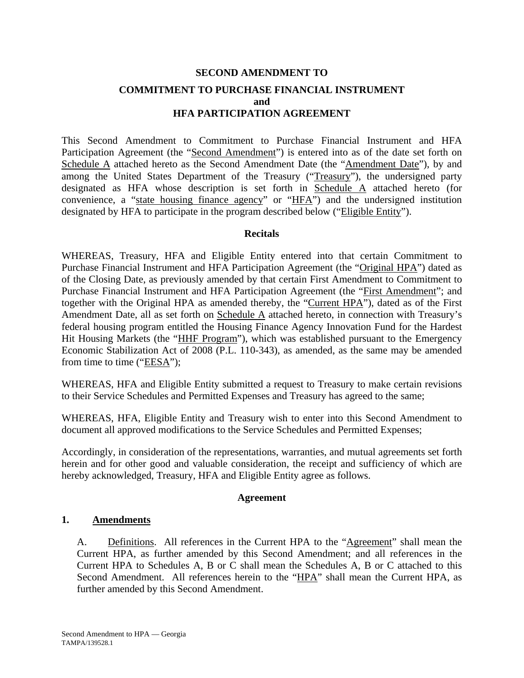# **SECOND AMENDMENT TO COMMITMENT TO PURCHASE FINANCIAL INSTRUMENT and HFA PARTICIPATION AGREEMENT**

This Second Amendment to Commitment to Purchase Financial Instrument and HFA Participation Agreement (the "Second Amendment") is entered into as of the date set forth on Schedule A attached hereto as the Second Amendment Date (the "Amendment Date"), by and among the United States Department of the Treasury ("Treasury"), the undersigned party designated as HFA whose description is set forth in Schedule A attached hereto (for convenience, a "state housing finance agency" or "HFA") and the undersigned institution designated by HFA to participate in the program described below ("Eligible Entity").

## **Recitals**

WHEREAS, Treasury, HFA and Eligible Entity entered into that certain Commitment to Purchase Financial Instrument and HFA Participation Agreement (the "Original HPA") dated as of the Closing Date, as previously amended by that certain First Amendment to Commitment to Purchase Financial Instrument and HFA Participation Agreement (the "First Amendment"; and together with the Original HPA as amended thereby, the "Current HPA"), dated as of the First Amendment Date, all as set forth on Schedule A attached hereto, in connection with Treasury's federal housing program entitled the Housing Finance Agency Innovation Fund for the Hardest Hit Housing Markets (the "HHF Program"), which was established pursuant to the Emergency Economic Stabilization Act of 2008 (P.L. 110-343), as amended, as the same may be amended from time to time ("EESA");

WHEREAS, HFA and Eligible Entity submitted a request to Treasury to make certain revisions to their Service Schedules and Permitted Expenses and Treasury has agreed to the same;

WHEREAS, HFA, Eligible Entity and Treasury wish to enter into this Second Amendment to document all approved modifications to the Service Schedules and Permitted Expenses;

Accordingly, in consideration of the representations, warranties, and mutual agreements set forth herein and for other good and valuable consideration, the receipt and sufficiency of which are hereby acknowledged, Treasury, HFA and Eligible Entity agree as follows.

## **Agreement**

## **1. Amendments**

A. Definitions. All references in the Current HPA to the "Agreement" shall mean the Current HPA, as further amended by this Second Amendment; and all references in the Current HPA to Schedules A, B or C shall mean the Schedules A, B or C attached to this Second Amendment. All references herein to the "HPA" shall mean the Current HPA, as further amended by this Second Amendment.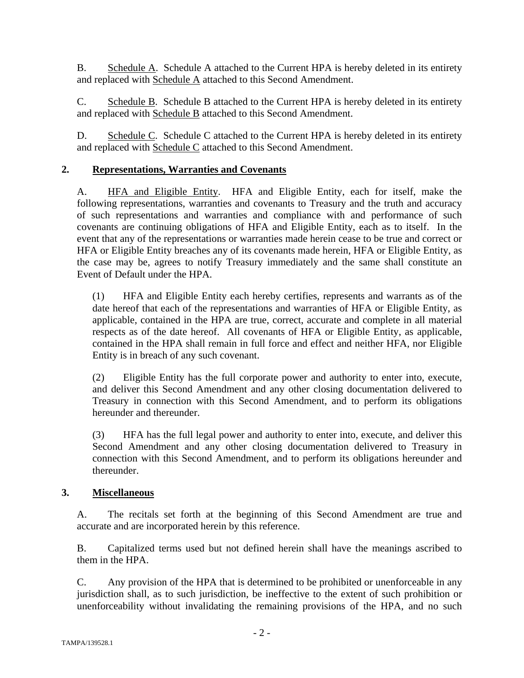B. Schedule A. Schedule A attached to the Current HPA is hereby deleted in its entirety and replaced with Schedule A attached to this Second Amendment.

C. Schedule B. Schedule B attached to the Current HPA is hereby deleted in its entirety and replaced with Schedule B attached to this Second Amendment.

D. Schedule C. Schedule C attached to the Current HPA is hereby deleted in its entirety and replaced with Schedule C attached to this Second Amendment.

# **2. Representations, Warranties and Covenants**

A. HFA and Eligible Entity. HFA and Eligible Entity, each for itself, make the following representations, warranties and covenants to Treasury and the truth and accuracy of such representations and warranties and compliance with and performance of such covenants are continuing obligations of HFA and Eligible Entity, each as to itself. In the event that any of the representations or warranties made herein cease to be true and correct or HFA or Eligible Entity breaches any of its covenants made herein, HFA or Eligible Entity, as the case may be, agrees to notify Treasury immediately and the same shall constitute an Event of Default under the HPA.

(1) HFA and Eligible Entity each hereby certifies, represents and warrants as of the date hereof that each of the representations and warranties of HFA or Eligible Entity, as applicable, contained in the HPA are true, correct, accurate and complete in all material respects as of the date hereof. All covenants of HFA or Eligible Entity, as applicable, contained in the HPA shall remain in full force and effect and neither HFA, nor Eligible Entity is in breach of any such covenant.

(2) Eligible Entity has the full corporate power and authority to enter into, execute, and deliver this Second Amendment and any other closing documentation delivered to Treasury in connection with this Second Amendment, and to perform its obligations hereunder and thereunder.

(3) HFA has the full legal power and authority to enter into, execute, and deliver this Second Amendment and any other closing documentation delivered to Treasury in connection with this Second Amendment, and to perform its obligations hereunder and thereunder.

# **3. Miscellaneous**

A. The recitals set forth at the beginning of this Second Amendment are true and accurate and are incorporated herein by this reference.

B. Capitalized terms used but not defined herein shall have the meanings ascribed to them in the HPA.

C. Any provision of the HPA that is determined to be prohibited or unenforceable in any jurisdiction shall, as to such jurisdiction, be ineffective to the extent of such prohibition or unenforceability without invalidating the remaining provisions of the HPA, and no such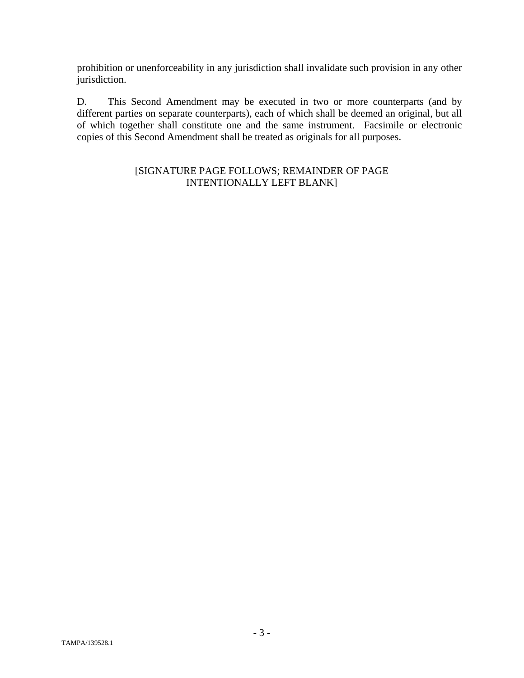prohibition or unenforceability in any jurisdiction shall invalidate such provision in any other jurisdiction.

D. This Second Amendment may be executed in two or more counterparts (and by different parties on separate counterparts), each of which shall be deemed an original, but all of which together shall constitute one and the same instrument. Facsimile or electronic copies of this Second Amendment shall be treated as originals for all purposes.

# [SIGNATURE PAGE FOLLOWS; REMAINDER OF PAGE INTENTIONALLY LEFT BLANK]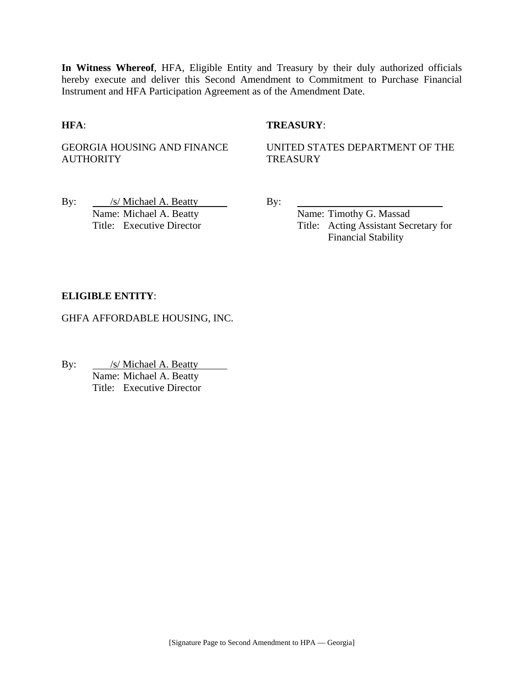**In Witness Whereof**, HFA, Eligible Entity and Treasury by their duly authorized officials hereby execute and deliver this Second Amendment to Commitment to Purchase Financial Instrument and HFA Participation Agreement as of the Amendment Date.

## **HFA**: **TREASURY**:

GEORGIA HOUSING AND FINANCE **AUTHORITY** 

UNITED STATES DEPARTMENT OF THE **TREASURY** 

By: /s/ Michael A. Beatty By: Name: Michael A. Beatty Name: Timothy G. Massad

Title: Executive Director Title: Acting Assistant Secretary for Financial Stability

## **ELIGIBLE ENTITY**:

GHFA AFFORDABLE HOUSING, INC.

By: <u>/s/ Michael A. Beatty</u> Name: Michael A. Beatty Title: Executive Director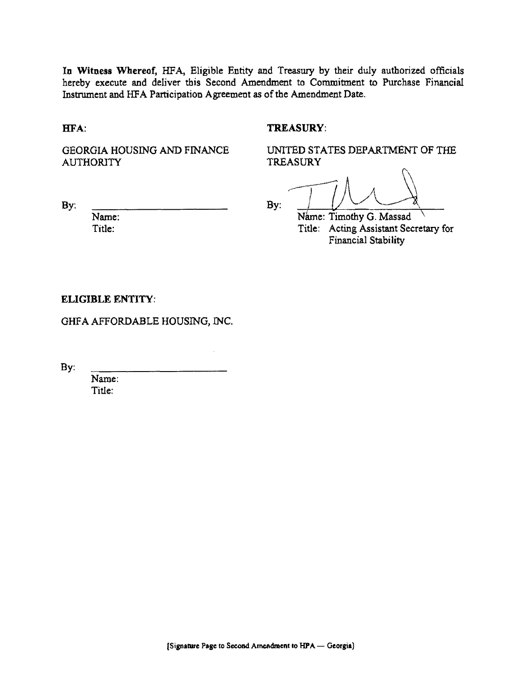In Witness Whereof, HFA, Eligible Entity and Treasury by their duly authorized officials hereby execute and deliver this Second Amendment to Commitment to Purchase Financial Instrument and HFA Participation Agreement as of the Amendment Date.

HFA:

By:

## TREASURY:

GEORGIA HOUSING AND FINANCE **AUTHORITY** 

UNITED STATES DEPARTMENT OF THE **TREASURY** 

C'\ By:  $\frac{1}{2}$ 

Name: Timothy G. Massad \ Title: Acting Assistant Secretary for Financial Stability

## ELIGIBLE ENTITY:

Name: Title:

GHFA AFFORDABLE HOUSING, INC.

By:

Name: Title: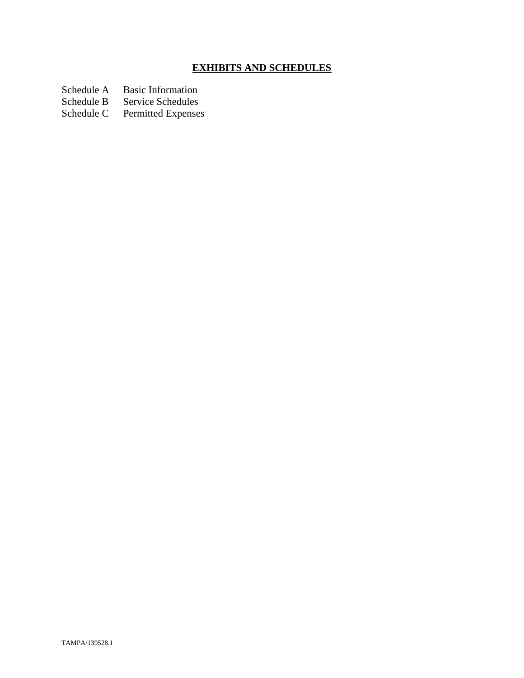# **EXHIBITS AND SCHEDULES**

Schedule A Basic Information<br>Schedule B Service Schedules

Schedule B Service Schedules<br>Schedule C Permitted Expenses

Permitted Expenses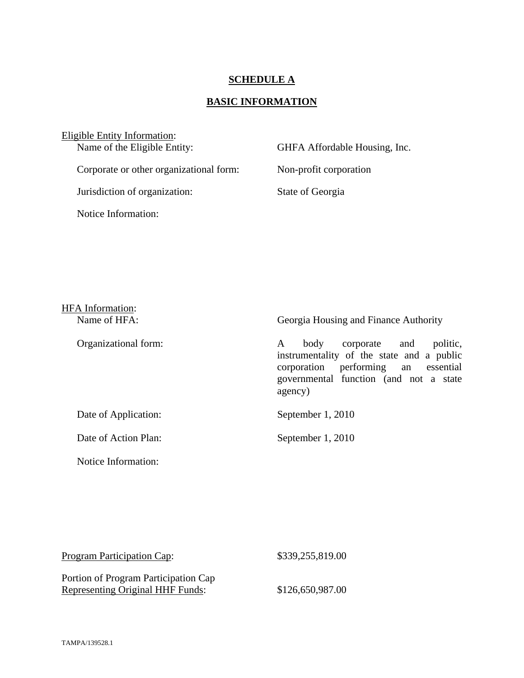## **SCHEDULE A**

# **BASIC INFORMATION**

Eligible Entity Information:<br>Name of the Eligible Entity: GHFA Affordable Housing, Inc. Corporate or other organizational form: Non-profit corporation Jurisdiction of organization: State of Georgia Notice Information:

| <b>HFA</b> Information:<br>Name of HFA: | Georgia Housing and Finance Authority                                                                                                                                              |
|-----------------------------------------|------------------------------------------------------------------------------------------------------------------------------------------------------------------------------------|
| Organizational form:                    | politic,<br>corporate and<br>body<br>A<br>instrumentality of the state and a public<br>performing an essential<br>corporation<br>governmental function (and not a state<br>agency) |
| Date of Application:                    | September 1, 2010                                                                                                                                                                  |
| Date of Action Plan:                    | September 1, 2010                                                                                                                                                                  |
| Notice Information:                     |                                                                                                                                                                                    |

| <b>Program Participation Cap:</b>       | \$339,255,819.00 |
|-----------------------------------------|------------------|
| Portion of Program Participation Cap    |                  |
| <b>Representing Original HHF Funds:</b> | \$126,650,987.00 |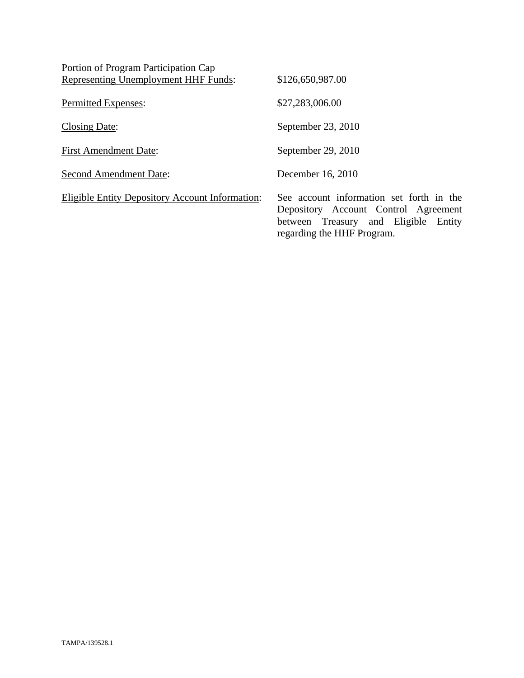| Portion of Program Participation Cap                   |                                                                                                                                                        |
|--------------------------------------------------------|--------------------------------------------------------------------------------------------------------------------------------------------------------|
| Representing Unemployment HHF Funds:                   | \$126,650,987.00                                                                                                                                       |
| Permitted Expenses:                                    | \$27,283,006.00                                                                                                                                        |
| Closing Date:                                          | September 23, 2010                                                                                                                                     |
| <b>First Amendment Date:</b>                           | September 29, 2010                                                                                                                                     |
| <b>Second Amendment Date:</b>                          | December 16, 2010                                                                                                                                      |
| <b>Eligible Entity Depository Account Information:</b> | See account information set forth in the<br>Depository Account Control Agreement<br>between Treasury and Eligible Entity<br>regarding the HHF Program. |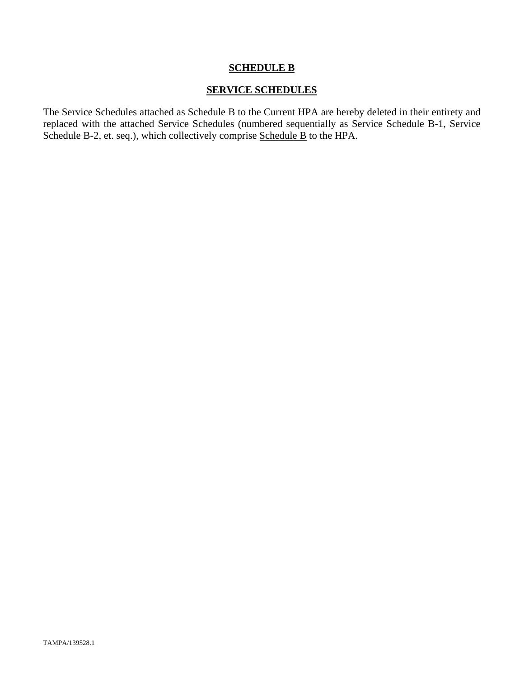## **SCHEDULE B**

## **SERVICE SCHEDULES**

The Service Schedules attached as Schedule B to the Current HPA are hereby deleted in their entirety and replaced with the attached Service Schedules (numbered sequentially as Service Schedule B-1, Service Schedule B-2, et. seq.), which collectively comprise Schedule B to the HPA.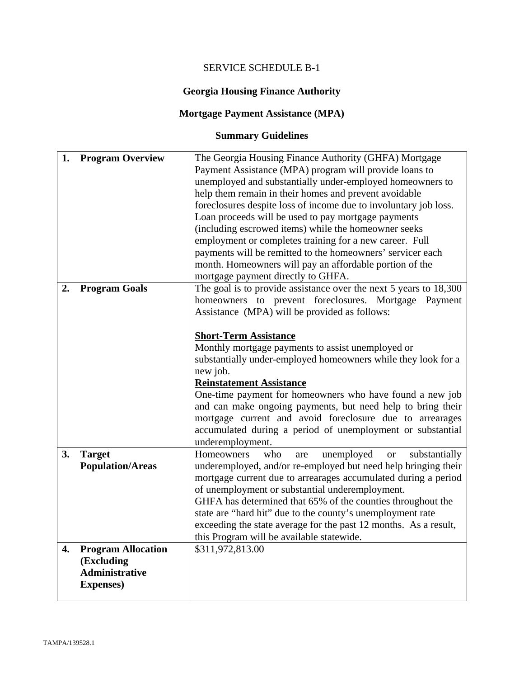# SERVICE SCHEDULE B-1

# **Georgia Housing Finance Authority**

# **Mortgage Payment Assistance (MPA)**

# **Summary Guidelines**

| 1. | <b>Program Overview</b>   | The Georgia Housing Finance Authority (GHFA) Mortgage<br>Payment Assistance (MPA) program will provide loans to |
|----|---------------------------|-----------------------------------------------------------------------------------------------------------------|
|    |                           | unemployed and substantially under-employed homeowners to                                                       |
|    |                           | help them remain in their homes and prevent avoidable                                                           |
|    |                           | foreclosures despite loss of income due to involuntary job loss.                                                |
|    |                           | Loan proceeds will be used to pay mortgage payments                                                             |
|    |                           | (including escrowed items) while the homeowner seeks                                                            |
|    |                           | employment or completes training for a new career. Full                                                         |
|    |                           | payments will be remitted to the homeowners' servicer each                                                      |
|    |                           | month. Homeowners will pay an affordable portion of the                                                         |
|    |                           | mortgage payment directly to GHFA.                                                                              |
| 2. | <b>Program Goals</b>      | The goal is to provide assistance over the next 5 years to 18,300                                               |
|    |                           | homeowners to prevent foreclosures. Mortgage Payment                                                            |
|    |                           | Assistance (MPA) will be provided as follows:                                                                   |
|    |                           |                                                                                                                 |
|    |                           | <b>Short-Term Assistance</b>                                                                                    |
|    |                           | Monthly mortgage payments to assist unemployed or                                                               |
|    |                           | substantially under-employed homeowners while they look for a                                                   |
|    |                           | new job.                                                                                                        |
|    |                           | <b>Reinstatement Assistance</b><br>One-time payment for homeowners who have found a new job                     |
|    |                           | and can make ongoing payments, but need help to bring their                                                     |
|    |                           | mortgage current and avoid foreclosure due to arrearages                                                        |
|    |                           | accumulated during a period of unemployment or substantial                                                      |
|    |                           | underemployment.                                                                                                |
| 3. | <b>Target</b>             | unemployed<br>Homeowners<br>who<br>substantially<br><b>or</b><br>are                                            |
|    | <b>Population/Areas</b>   | underemployed, and/or re-employed but need help bringing their                                                  |
|    |                           | mortgage current due to arrearages accumulated during a period                                                  |
|    |                           | of unemployment or substantial underemployment.                                                                 |
|    |                           | GHFA has determined that 65% of the counties throughout the                                                     |
|    |                           | state are "hard hit" due to the county's unemployment rate                                                      |
|    |                           | exceeding the state average for the past 12 months. As a result,                                                |
|    |                           | this Program will be available statewide.                                                                       |
| 4. | <b>Program Allocation</b> | \$311,972,813.00                                                                                                |
|    | (Excluding                |                                                                                                                 |
|    | <b>Administrative</b>     |                                                                                                                 |
|    |                           |                                                                                                                 |
|    | <b>Expenses</b> )         |                                                                                                                 |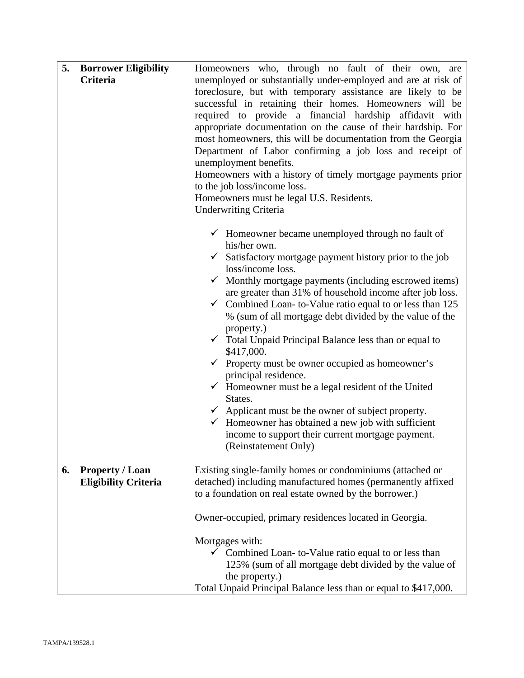| 5.<br><b>Borrower Eligibility</b><br>Criteria               | Homeowners who, through no fault of their own, are<br>unemployed or substantially under-employed and are at risk of                                                                                                                                                                                                                                                                                                                                                                                                                                                                                                                                                                                                                                                                                                                                                                                                  |  |  |
|-------------------------------------------------------------|----------------------------------------------------------------------------------------------------------------------------------------------------------------------------------------------------------------------------------------------------------------------------------------------------------------------------------------------------------------------------------------------------------------------------------------------------------------------------------------------------------------------------------------------------------------------------------------------------------------------------------------------------------------------------------------------------------------------------------------------------------------------------------------------------------------------------------------------------------------------------------------------------------------------|--|--|
|                                                             | foreclosure, but with temporary assistance are likely to be<br>successful in retaining their homes. Homeowners will be<br>required to provide a financial hardship affidavit with<br>appropriate documentation on the cause of their hardship. For<br>most homeowners, this will be documentation from the Georgia<br>Department of Labor confirming a job loss and receipt of<br>unemployment benefits.<br>Homeowners with a history of timely mortgage payments prior<br>to the job loss/income loss.<br>Homeowners must be legal U.S. Residents.<br><b>Underwriting Criteria</b>                                                                                                                                                                                                                                                                                                                                  |  |  |
|                                                             | $\checkmark$ Homeowner became unemployed through no fault of<br>his/her own.<br>$\checkmark$ Satisfactory mortgage payment history prior to the job<br>loss/income loss.<br>Monthly mortgage payments (including escrowed items)<br>are greater than 31% of household income after job loss.<br>Combined Loan-to-Value ratio equal to or less than 125<br>$\checkmark$<br>% (sum of all mortgage debt divided by the value of the<br>property.)<br>$\checkmark$ Total Unpaid Principal Balance less than or equal to<br>\$417,000.<br>$\checkmark$ Property must be owner occupied as homeowner's<br>principal residence.<br>$\checkmark$ Homeowner must be a legal resident of the United<br>States.<br>$\checkmark$ Applicant must be the owner of subject property.<br>$\checkmark$ Homeowner has obtained a new job with sufficient<br>income to support their current mortgage payment.<br>(Reinstatement Only) |  |  |
| 6.<br><b>Property / Loan</b><br><b>Eligibility Criteria</b> | Existing single-family homes or condominiums (attached or<br>detached) including manufactured homes (permanently affixed<br>to a foundation on real estate owned by the borrower.)<br>Owner-occupied, primary residences located in Georgia.<br>Mortgages with:<br>$\checkmark$ Combined Loan-to-Value ratio equal to or less than<br>125% (sum of all mortgage debt divided by the value of<br>the property.)<br>Total Unpaid Principal Balance less than or equal to \$417,000.                                                                                                                                                                                                                                                                                                                                                                                                                                    |  |  |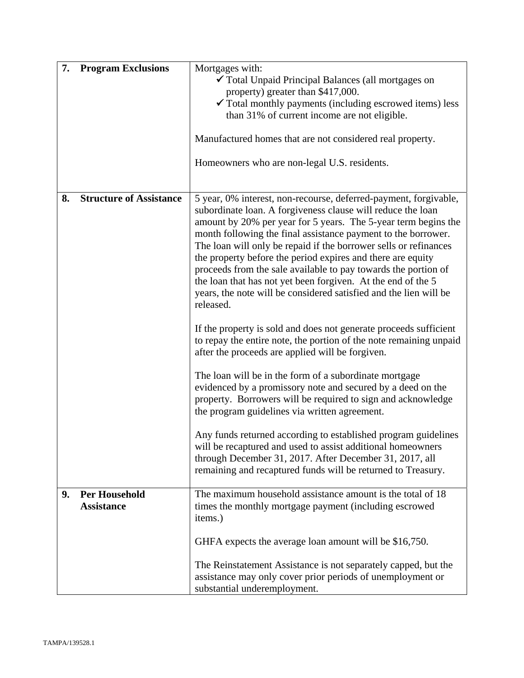| 7. | <b>Program Exclusions</b>                 | Mortgages with:<br>✔ Total Unpaid Principal Balances (all mortgages on<br>property) greater than \$417,000.<br>$\checkmark$ Total monthly payments (including escrowed items) less<br>than 31% of current income are not eligible.                                                                                                                                                                                                                                                                                                                                                                                        |  |
|----|-------------------------------------------|---------------------------------------------------------------------------------------------------------------------------------------------------------------------------------------------------------------------------------------------------------------------------------------------------------------------------------------------------------------------------------------------------------------------------------------------------------------------------------------------------------------------------------------------------------------------------------------------------------------------------|--|
|    |                                           | Manufactured homes that are not considered real property.                                                                                                                                                                                                                                                                                                                                                                                                                                                                                                                                                                 |  |
|    |                                           | Homeowners who are non-legal U.S. residents.                                                                                                                                                                                                                                                                                                                                                                                                                                                                                                                                                                              |  |
| 8. | <b>Structure of Assistance</b>            | 5 year, 0% interest, non-recourse, deferred-payment, forgivable,<br>subordinate loan. A forgiveness clause will reduce the loan<br>amount by 20% per year for 5 years. The 5-year term begins the<br>month following the final assistance payment to the borrower.<br>The loan will only be repaid if the borrower sells or refinances<br>the property before the period expires and there are equity<br>proceeds from the sale available to pay towards the portion of<br>the loan that has not yet been forgiven. At the end of the 5<br>years, the note will be considered satisfied and the lien will be<br>released. |  |
|    |                                           | If the property is sold and does not generate proceeds sufficient<br>to repay the entire note, the portion of the note remaining unpaid<br>after the proceeds are applied will be forgiven.                                                                                                                                                                                                                                                                                                                                                                                                                               |  |
|    |                                           | The loan will be in the form of a subordinate mortgage<br>evidenced by a promissory note and secured by a deed on the<br>property. Borrowers will be required to sign and acknowledge<br>the program guidelines via written agreement.                                                                                                                                                                                                                                                                                                                                                                                    |  |
|    |                                           | Any funds returned according to established program guidelines<br>will be recaptured and used to assist additional homeowners<br>through December 31, 2017. After December 31, 2017, all<br>remaining and recaptured funds will be returned to Treasury.                                                                                                                                                                                                                                                                                                                                                                  |  |
| 9. | <b>Per Household</b><br><b>Assistance</b> | The maximum household assistance amount is the total of 18<br>times the monthly mortgage payment (including escrowed<br>items.)                                                                                                                                                                                                                                                                                                                                                                                                                                                                                           |  |
|    |                                           | GHFA expects the average loan amount will be \$16,750.                                                                                                                                                                                                                                                                                                                                                                                                                                                                                                                                                                    |  |
|    |                                           | The Reinstatement Assistance is not separately capped, but the<br>assistance may only cover prior periods of unemployment or<br>substantial underemployment.                                                                                                                                                                                                                                                                                                                                                                                                                                                              |  |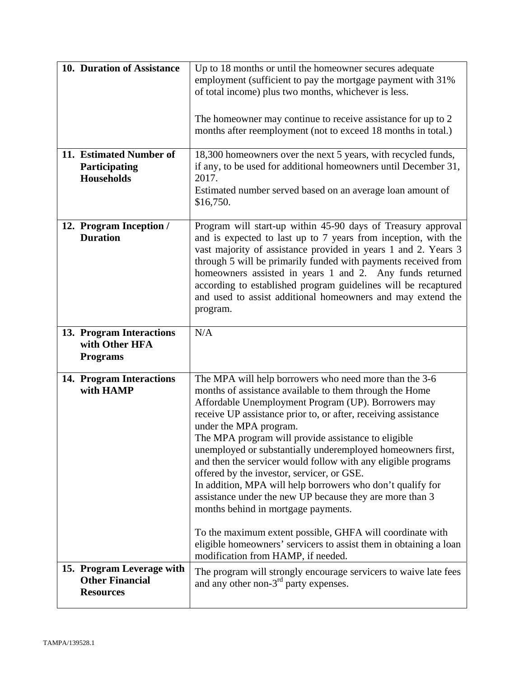| 10. Duration of Assistance                                              | Up to 18 months or until the homeowner secures adequate<br>employment (sufficient to pay the mortgage payment with 31%<br>of total income) plus two months, whichever is less.<br>The homeowner may continue to receive assistance for up to 2<br>months after reemployment (not to exceed 18 months in total.)                                                                                                                                                                                                                                                                                                                                                                                                                         |
|-------------------------------------------------------------------------|-----------------------------------------------------------------------------------------------------------------------------------------------------------------------------------------------------------------------------------------------------------------------------------------------------------------------------------------------------------------------------------------------------------------------------------------------------------------------------------------------------------------------------------------------------------------------------------------------------------------------------------------------------------------------------------------------------------------------------------------|
| 11. Estimated Number of<br>Participating<br><b>Households</b>           | 18,300 homeowners over the next 5 years, with recycled funds,<br>if any, to be used for additional homeowners until December 31,<br>2017.<br>Estimated number served based on an average loan amount of<br>\$16,750.                                                                                                                                                                                                                                                                                                                                                                                                                                                                                                                    |
| 12. Program Inception /<br><b>Duration</b>                              | Program will start-up within 45-90 days of Treasury approval<br>and is expected to last up to 7 years from inception, with the<br>vast majority of assistance provided in years 1 and 2. Years 3<br>through 5 will be primarily funded with payments received from<br>homeowners assisted in years 1 and 2. Any funds returned<br>according to established program guidelines will be recaptured<br>and used to assist additional homeowners and may extend the<br>program.                                                                                                                                                                                                                                                             |
| 13. Program Interactions<br>with Other HFA<br><b>Programs</b>           | N/A                                                                                                                                                                                                                                                                                                                                                                                                                                                                                                                                                                                                                                                                                                                                     |
| 14. Program Interactions<br>with HAMP                                   | The MPA will help borrowers who need more than the 3-6<br>months of assistance available to them through the Home<br>Affordable Unemployment Program (UP). Borrowers may<br>receive UP assistance prior to, or after, receiving assistance<br>under the MPA program.<br>The MPA program will provide assistance to eligible<br>unemployed or substantially underemployed homeowners first,<br>and then the servicer would follow with any eligible programs<br>offered by the investor, servicer, or GSE.<br>In addition, MPA will help borrowers who don't qualify for<br>assistance under the new UP because they are more than 3<br>months behind in mortgage payments.<br>To the maximum extent possible, GHFA will coordinate with |
|                                                                         | eligible homeowners' servicers to assist them in obtaining a loan<br>modification from HAMP, if needed.                                                                                                                                                                                                                                                                                                                                                                                                                                                                                                                                                                                                                                 |
| 15. Program Leverage with<br><b>Other Financial</b><br><b>Resources</b> | The program will strongly encourage servicers to waive late fees<br>and any other non-3 <sup>rd</sup> party expenses.                                                                                                                                                                                                                                                                                                                                                                                                                                                                                                                                                                                                                   |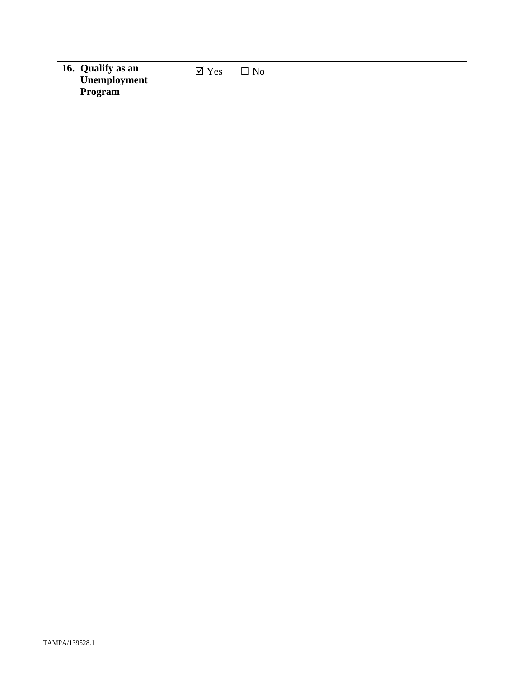| 16. Qualify as an<br>Unemployment<br>Program | $\boxtimes$ Yes | $\square$ No |
|----------------------------------------------|-----------------|--------------|
|----------------------------------------------|-----------------|--------------|